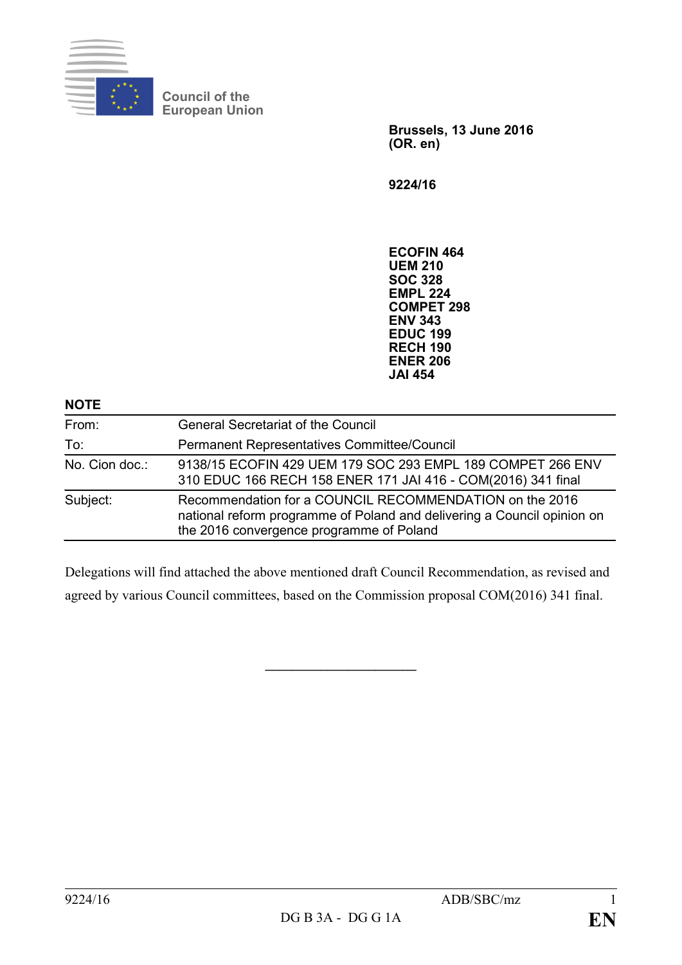

**Council of the European Union**

> **Brussels, 13 June 2016 (OR. en)**

**9224/16**

**ECOFIN 464 UEM 210 SOC 328 EMPL 224 COMPET 298 ENV 343 EDUC 199 RECH 190 ENER 206 JAI 454**

### **NOTE**

| From:          | <b>General Secretariat of the Council</b>                                                                                                                                      |
|----------------|--------------------------------------------------------------------------------------------------------------------------------------------------------------------------------|
| To:            | Permanent Representatives Committee/Council                                                                                                                                    |
| No. Cion doc.: | 9138/15 ECOFIN 429 UEM 179 SOC 293 EMPL 189 COMPET 266 ENV<br>310 EDUC 166 RECH 158 ENER 171 JAI 416 - COM(2016) 341 final                                                     |
| Subject:       | Recommendation for a COUNCIL RECOMMENDATION on the 2016<br>national reform programme of Poland and delivering a Council opinion on<br>the 2016 convergence programme of Poland |

Delegations will find attached the above mentioned draft Council Recommendation, as revised and agreed by various Council committees, based on the Commission proposal COM(2016) 341 final.

**\_\_\_\_\_\_\_\_\_\_\_\_\_\_\_\_\_\_\_\_\_\_**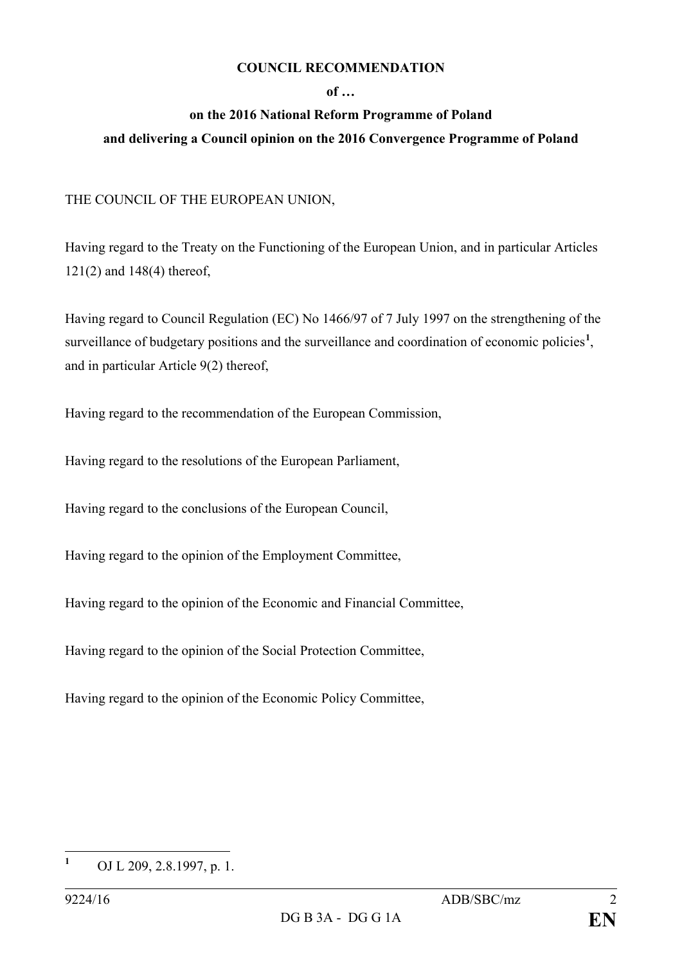### **COUNCIL RECOMMENDATION**

### **of …**

# **on the 2016 National Reform Programme of Poland**

## **and delivering a Council opinion on the 2016 Convergence Programme of Poland**

## THE COUNCIL OF THE EUROPEAN UNION,

Having regard to the Treaty on the Functioning of the European Union, and in particular Articles 121(2) and 148(4) thereof,

Having regard to Council Regulation (EC) No 1466/97 of 7 July 1997 on the strengthening of the surveillance of budgetary positions and the surveillance and coordination of economic policies<sup>[1](#page-1-0)</sup>, and in particular Article 9(2) thereof,

Having regard to the recommendation of the European Commission,

Having regard to the resolutions of the European Parliament,

Having regard to the conclusions of the European Council,

Having regard to the opinion of the Employment Committee,

Having regard to the opinion of the Economic and Financial Committee,

Having regard to the opinion of the Social Protection Committee,

Having regard to the opinion of the Economic Policy Committee,

<span id="page-1-0"></span>**<sup>1</sup>** OJ L 209, 2.8.1997, p. 1.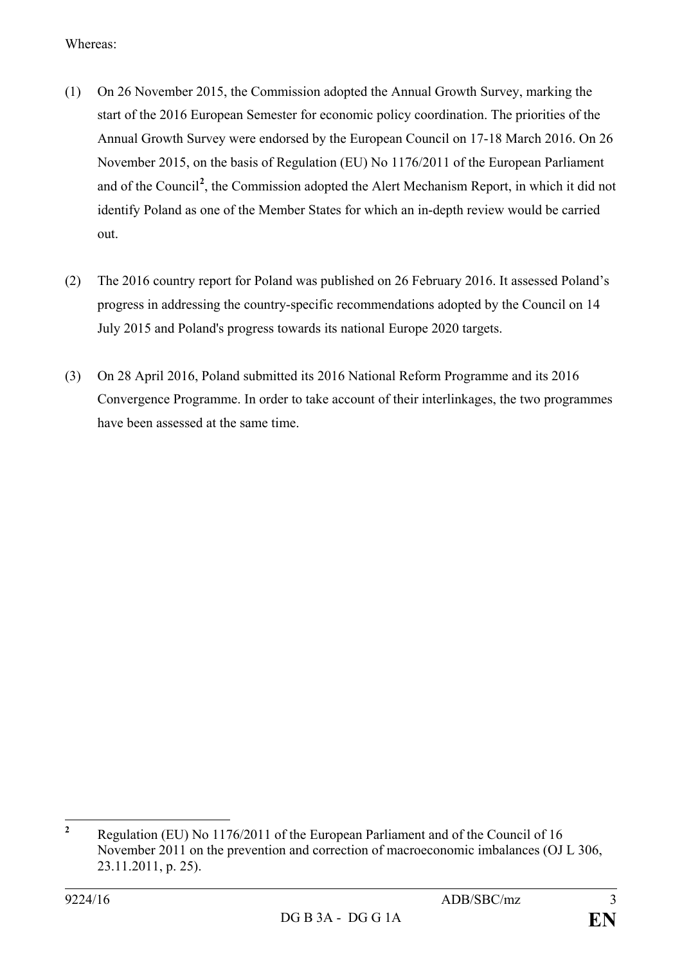Whereas:

- (1) On 26 November 2015, the Commission adopted the Annual Growth Survey, marking the start of the 2016 European Semester for economic policy coordination. The priorities of the Annual Growth Survey were endorsed by the European Council on 17-18 March 2016. On 26 November 2015, on the basis of Regulation (EU) No 1176/2011 of the European Parliament and of the Council**[2](#page-2-0)** , the Commission adopted the Alert Mechanism Report, in which it did not identify Poland as one of the Member States for which an in-depth review would be carried out.
- (2) The 2016 country report for Poland was published on 26 February 2016. It assessed Poland's progress in addressing the country-specific recommendations adopted by the Council on 14 July 2015 and Poland's progress towards its national Europe 2020 targets.
- (3) On 28 April 2016, Poland submitted its 2016 National Reform Programme and its 2016 Convergence Programme. In order to take account of their interlinkages, the two programmes have been assessed at the same time.

<span id="page-2-0"></span>**<sup>2</sup>** Regulation (EU) No 1176/2011 of the European Parliament and of the Council of 16 November 2011 on the prevention and correction of macroeconomic imbalances (OJ L 306, 23.11.2011, p. 25).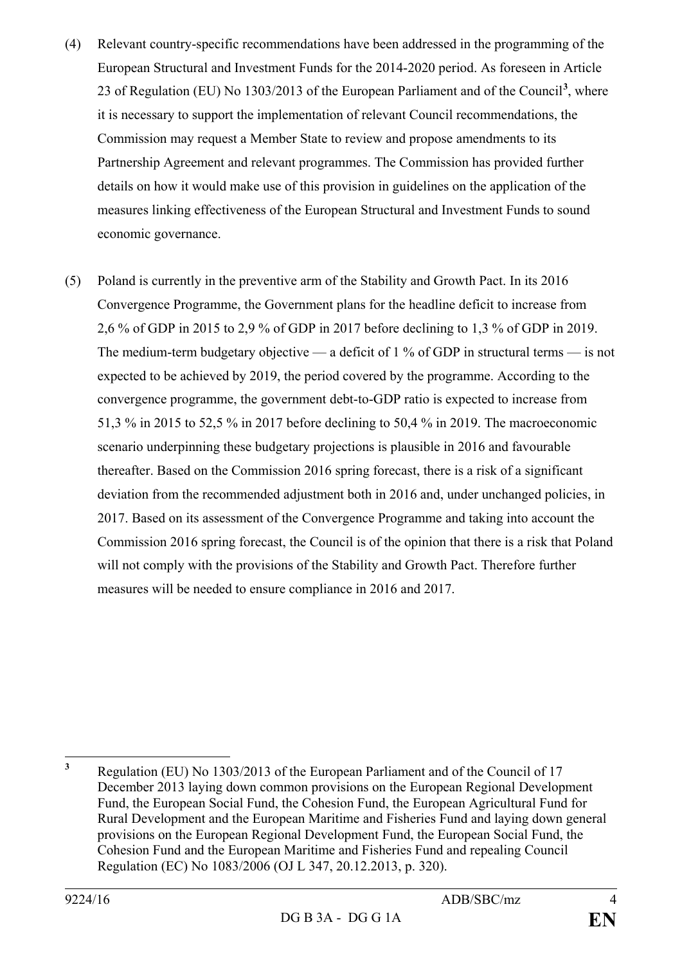- (4) Relevant country-specific recommendations have been addressed in the programming of the European Structural and Investment Funds for the 2014-2020 period. As foreseen in Article 23 of Regulation (EU) No 1303/2013 of the European Parliament and of the Council**[3](#page-3-0)** , where it is necessary to support the implementation of relevant Council recommendations, the Commission may request a Member State to review and propose amendments to its Partnership Agreement and relevant programmes. The Commission has provided further details on how it would make use of this provision in guidelines on the application of the measures linking effectiveness of the European Structural and Investment Funds to sound economic governance.
- (5) Poland is currently in the preventive arm of the Stability and Growth Pact. In its 2016 Convergence Programme, the Government plans for the headline deficit to increase from 2,6 % of GDP in 2015 to 2,9 % of GDP in 2017 before declining to 1,3 % of GDP in 2019. The medium-term budgetary objective — a deficit of 1 % of GDP in structural terms — is not expected to be achieved by 2019, the period covered by the programme. According to the convergence programme, the government debt-to-GDP ratio is expected to increase from 51,3 % in 2015 to 52,5 % in 2017 before declining to 50,4 % in 2019. The macroeconomic scenario underpinning these budgetary projections is plausible in 2016 and favourable thereafter. Based on the Commission 2016 spring forecast, there is a risk of a significant deviation from the recommended adjustment both in 2016 and, under unchanged policies, in 2017. Based on its assessment of the Convergence Programme and taking into account the Commission 2016 spring forecast, the Council is of the opinion that there is a risk that Poland will not comply with the provisions of the Stability and Growth Pact. Therefore further measures will be needed to ensure compliance in 2016 and 2017.

<span id="page-3-0"></span>**<sup>3</sup>** Regulation (EU) No 1303/2013 of the European Parliament and of the Council of 17 December 2013 laying down common provisions on the European Regional Development Fund, the European Social Fund, the Cohesion Fund, the European Agricultural Fund for Rural Development and the European Maritime and Fisheries Fund and laying down general provisions on the European Regional Development Fund, the European Social Fund, the Cohesion Fund and the European Maritime and Fisheries Fund and repealing Council Regulation (EC) No 1083/2006 (OJ L 347, 20.12.2013, p. 320).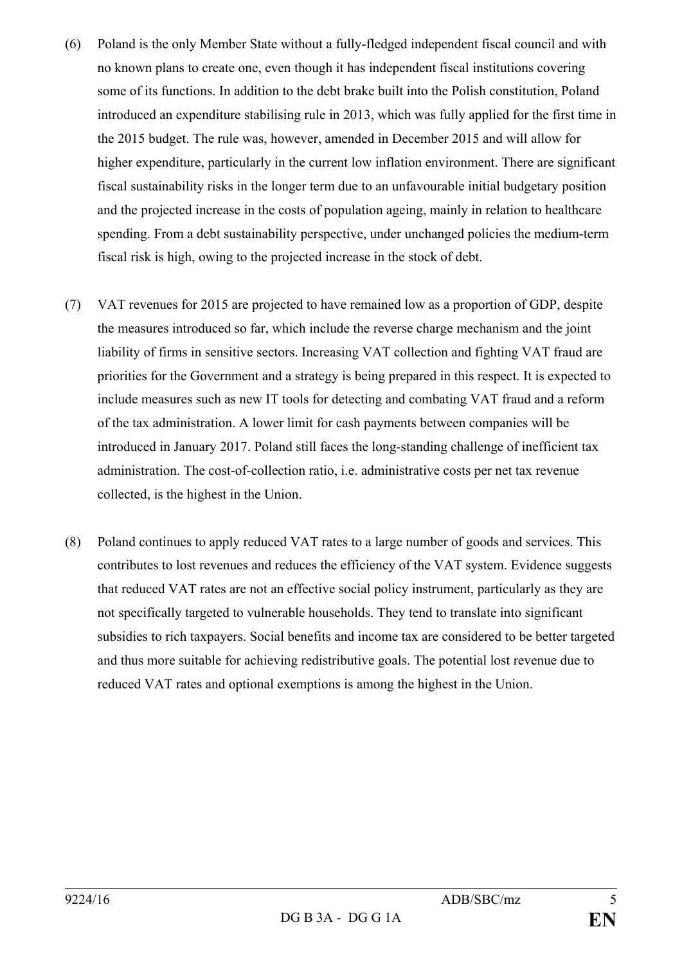- (6) Poland is the only Member State without a fully-fledged independent fiscal council and with no known plans to create one, even though it has independent fiscal institutions covering some of its functions. In addition to the debt brake built into the Polish constitution, Poland introduced an expenditure stabilising rule in 2013, which was fully applied for the first time in the 2015 budget. The rule was, however, amended in December 2015 and will allow for higher expenditure, particularly in the current low inflation environment. There are significant fiscal sustainability risks in the longer term due to an unfavourable initial budgetary position and the projected increase in the costs of population ageing, mainly in relation to healthcare spending. From a debt sustainability perspective, under unchanged policies the medium-term fiscal risk is high, owing to the projected increase in the stock of debt.
- (7) VAT revenues for 2015 are projected to have remained low as a proportion of GDP, despite the measures introduced so far, which include the reverse charge mechanism and the joint liability of firms in sensitive sectors. Increasing VAT collection and fighting VAT fraud are priorities for the Government and a strategy is being prepared in this respect. It is expected to include measures such as new IT tools for detecting and combating VAT fraud and a reform of the tax administration. A lower limit for cash payments between companies will be introduced in January 2017. Poland still faces the long-standing challenge of inefficient tax administration. The cost-of-collection ratio, i.e. administrative costs per net tax revenue collected, is the highest in the Union.
- (8) Poland continues to apply reduced VAT rates to a large number of goods and services. This contributes to lost revenues and reduces the efficiency of the VAT system. Evidence suggests that reduced VAT rates are not an effective social policy instrument, particularly as they are not specifically targeted to vulnerable households. They tend to translate into significant subsidies to rich taxpayers. Social benefits and income tax are considered to be better targeted and thus more suitable for achieving redistributive goals. The potential lost revenue due to reduced VAT rates and optional exemptions is among the highest in the Union.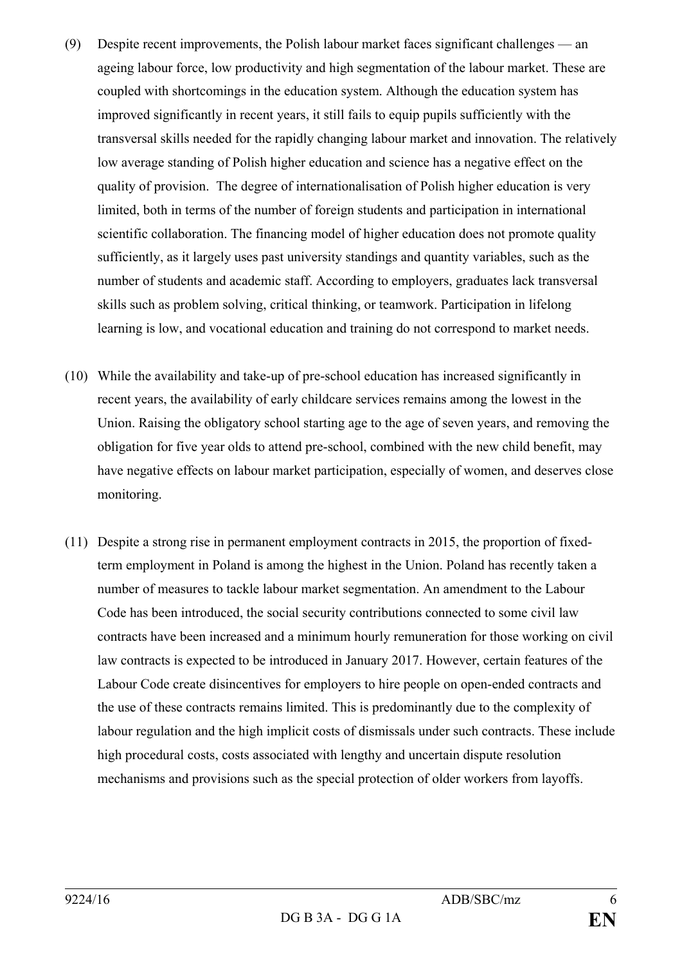- (9) Despite recent improvements, the Polish labour market faces significant challenges an ageing labour force, low productivity and high segmentation of the labour market. These are coupled with shortcomings in the education system. Although the education system has improved significantly in recent years, it still fails to equip pupils sufficiently with the transversal skills needed for the rapidly changing labour market and innovation. The relatively low average standing of Polish higher education and science has a negative effect on the quality of provision. The degree of internationalisation of Polish higher education is very limited, both in terms of the number of foreign students and participation in international scientific collaboration. The financing model of higher education does not promote quality sufficiently, as it largely uses past university standings and quantity variables, such as the number of students and academic staff. According to employers, graduates lack transversal skills such as problem solving, critical thinking, or teamwork. Participation in lifelong learning is low, and vocational education and training do not correspond to market needs.
- (10) While the availability and take-up of pre-school education has increased significantly in recent years, the availability of early childcare services remains among the lowest in the Union. Raising the obligatory school starting age to the age of seven years, and removing the obligation for five year olds to attend pre-school, combined with the new child benefit, may have negative effects on labour market participation, especially of women, and deserves close monitoring.
- (11) Despite a strong rise in permanent employment contracts in 2015, the proportion of fixedterm employment in Poland is among the highest in the Union. Poland has recently taken a number of measures to tackle labour market segmentation. An amendment to the Labour Code has been introduced, the social security contributions connected to some civil law contracts have been increased and a minimum hourly remuneration for those working on civil law contracts is expected to be introduced in January 2017. However, certain features of the Labour Code create disincentives for employers to hire people on open-ended contracts and the use of these contracts remains limited. This is predominantly due to the complexity of labour regulation and the high implicit costs of dismissals under such contracts. These include high procedural costs, costs associated with lengthy and uncertain dispute resolution mechanisms and provisions such as the special protection of older workers from layoffs.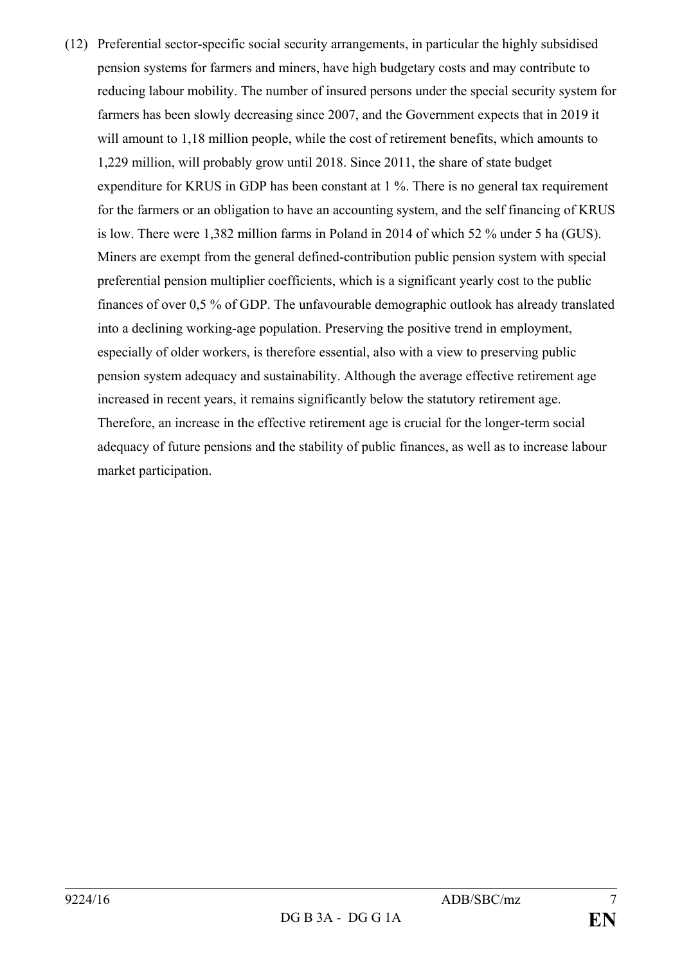(12) Preferential sector-specific social security arrangements, in particular the highly subsidised pension systems for farmers and miners, have high budgetary costs and may contribute to reducing labour mobility. The number of insured persons under the special security system for farmers has been slowly decreasing since 2007, and the Government expects that in 2019 it will amount to 1,18 million people, while the cost of retirement benefits, which amounts to 1,229 million, will probably grow until 2018. Since 2011, the share of state budget expenditure for KRUS in GDP has been constant at 1 %. There is no general tax requirement for the farmers or an obligation to have an accounting system, and the self financing of KRUS is low. There were 1,382 million farms in Poland in 2014 of which 52 % under 5 ha (GUS). Miners are exempt from the general defined-contribution public pension system with special preferential pension multiplier coefficients, which is a significant yearly cost to the public finances of over 0,5 % of GDP. The unfavourable demographic outlook has already translated into a declining working-age population. Preserving the positive trend in employment, especially of older workers, is therefore essential, also with a view to preserving public pension system adequacy and sustainability. Although the average effective retirement age increased in recent years, it remains significantly below the statutory retirement age. Therefore, an increase in the effective retirement age is crucial for the longer-term social adequacy of future pensions and the stability of public finances, as well as to increase labour market participation.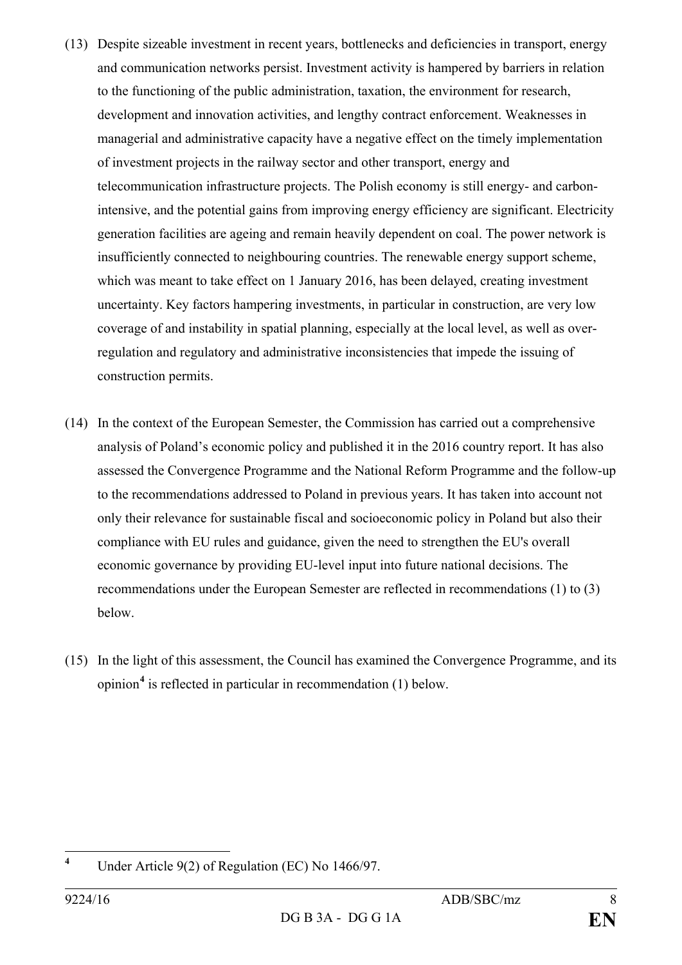- (13) Despite sizeable investment in recent years, bottlenecks and deficiencies in transport, energy and communication networks persist. Investment activity is hampered by barriers in relation to the functioning of the public administration, taxation, the environment for research, development and innovation activities, and lengthy contract enforcement. Weaknesses in managerial and administrative capacity have a negative effect on the timely implementation of investment projects in the railway sector and other transport, energy and telecommunication infrastructure projects. The Polish economy is still energy- and carbonintensive, and the potential gains from improving energy efficiency are significant. Electricity generation facilities are ageing and remain heavily dependent on coal. The power network is insufficiently connected to neighbouring countries. The renewable energy support scheme, which was meant to take effect on 1 January 2016, has been delayed, creating investment uncertainty. Key factors hampering investments, in particular in construction, are very low coverage of and instability in spatial planning, especially at the local level, as well as overregulation and regulatory and administrative inconsistencies that impede the issuing of construction permits.
- (14) In the context of the European Semester, the Commission has carried out a comprehensive analysis of Poland's economic policy and published it in the 2016 country report. It has also assessed the Convergence Programme and the National Reform Programme and the follow-up to the recommendations addressed to Poland in previous years. It has taken into account not only their relevance for sustainable fiscal and socioeconomic policy in Poland but also their compliance with EU rules and guidance, given the need to strengthen the EU's overall economic governance by providing EU-level input into future national decisions. The recommendations under the European Semester are reflected in recommendations (1) to (3) below.
- (15) In the light of this assessment, the Council has examined the Convergence Programme, and its opinion**[4](#page-7-0)** is reflected in particular in recommendation (1) below.

<span id="page-7-0"></span>**<sup>4</sup>** Under Article 9(2) of Regulation (EC) No 1466/97.